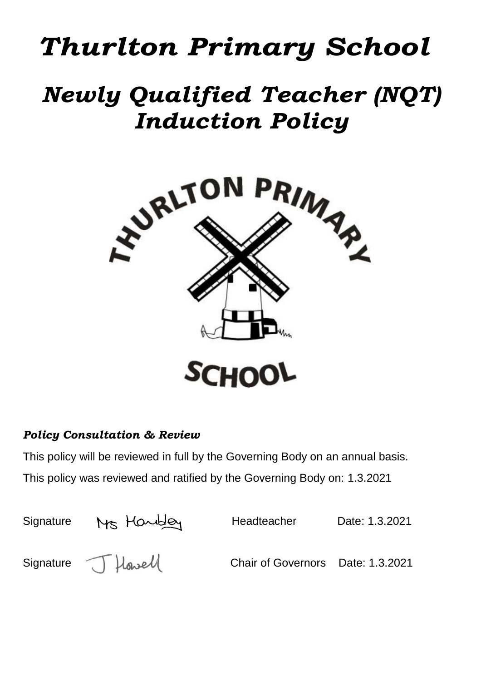# *Thurlton Primary School*

## *Newly Qualified Teacher (NQT) Induction Policy*



## *Policy Consultation & Review*

This policy will be reviewed in full by the Governing Body on an annual basis. This policy was reviewed and ratified by the Governing Body on: 1.3.2021

| Signature | Ms Handley         | Headteacher                       | Date: 1.3.2021 |
|-----------|--------------------|-----------------------------------|----------------|
|           | Signature J Howell | Chair of Governors Date: 1.3.2021 |                |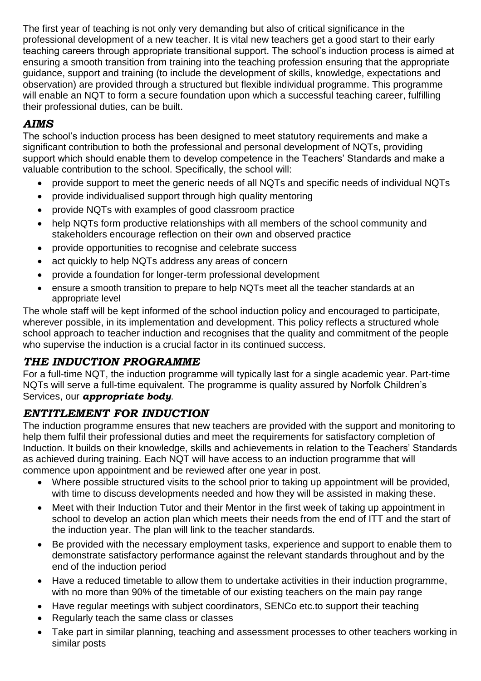The first year of teaching is not only very demanding but also of critical significance in the professional development of a new teacher. It is vital new teachers get a good start to their early teaching careers through appropriate transitional support. The school's induction process is aimed at ensuring a smooth transition from training into the teaching profession ensuring that the appropriate guidance, support and training (to include the development of skills, knowledge, expectations and observation) are provided through a structured but flexible individual programme. This programme will enable an NQT to form a secure foundation upon which a successful teaching career, fulfilling their professional duties, can be built.

## *AIMS*

The school's induction process has been designed to meet statutory requirements and make a significant contribution to both the professional and personal development of NQTs, providing support which should enable them to develop competence in the Teachers' Standards and make a valuable contribution to the school. Specifically, the school will:

- provide support to meet the generic needs of all NQTs and specific needs of individual NQTs
- provide individualised support through high quality mentoring
- provide NQTs with examples of good classroom practice
- help NQTs form productive relationships with all members of the school community and stakeholders encourage reflection on their own and observed practice
- provide opportunities to recognise and celebrate success
- act quickly to help NQTs address any areas of concern
- provide a foundation for longer-term professional development
- ensure a smooth transition to prepare to help NQTs meet all the teacher standards at an appropriate level

The whole staff will be kept informed of the school induction policy and encouraged to participate, wherever possible, in its implementation and development. This policy reflects a structured whole school approach to teacher induction and recognises that the quality and commitment of the people who supervise the induction is a crucial factor in its continued success.

#### *THE INDUCTION PROGRAMME*

For a full-time NQT, the induction programme will typically last for a single academic year. Part-time NQTs will serve a full-time equivalent. The programme is quality assured by Norfolk Children's Services, our *appropriate body*.

## *ENTITLEMENT FOR INDUCTION*

The induction programme ensures that new teachers are provided with the support and monitoring to help them fulfil their professional duties and meet the requirements for satisfactory completion of Induction. It builds on their knowledge, skills and achievements in relation to the Teachers' Standards as achieved during training. Each NQT will have access to an induction programme that will commence upon appointment and be reviewed after one year in post.

- Where possible structured visits to the school prior to taking up appointment will be provided, with time to discuss developments needed and how they will be assisted in making these.
- Meet with their Induction Tutor and their Mentor in the first week of taking up appointment in school to develop an action plan which meets their needs from the end of ITT and the start of the induction year. The plan will link to the teacher standards.
- Be provided with the necessary employment tasks, experience and support to enable them to demonstrate satisfactory performance against the relevant standards throughout and by the end of the induction period
- Have a reduced timetable to allow them to undertake activities in their induction programme, with no more than 90% of the timetable of our existing teachers on the main pay range
- Have regular meetings with subject coordinators, SENCo etc.to support their teaching
- Regularly teach the same class or classes
- Take part in similar planning, teaching and assessment processes to other teachers working in similar posts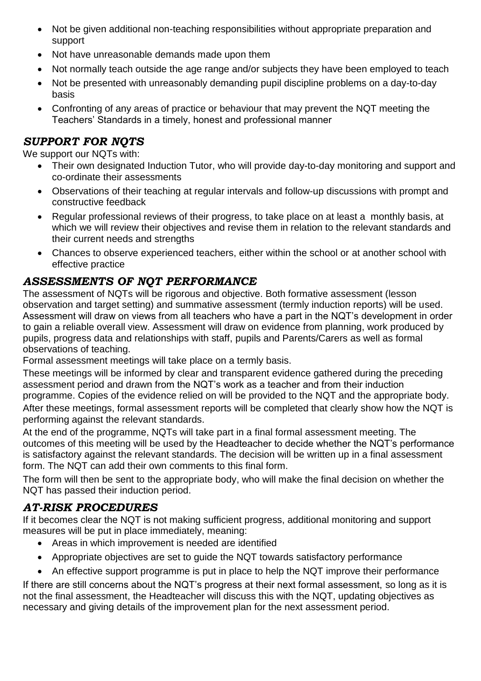- Not be given additional non-teaching responsibilities without appropriate preparation and support
- Not have unreasonable demands made upon them
- Not normally teach outside the age range and/or subjects they have been employed to teach
- Not be presented with unreasonably demanding pupil discipline problems on a day-to-day basis
- Confronting of any areas of practice or behaviour that may prevent the NQT meeting the Teachers' Standards in a timely, honest and professional manner

### *SUPPORT FOR NQTS*

We support our NQTs with:

- Their own designated Induction Tutor, who will provide day-to-day monitoring and support and co-ordinate their assessments
- Observations of their teaching at regular intervals and follow-up discussions with prompt and constructive feedback
- Regular professional reviews of their progress, to take place on at least a monthly basis, at which we will review their objectives and revise them in relation to the relevant standards and their current needs and strengths
- Chances to observe experienced teachers, either within the school or at another school with effective practice

## *ASSESSMENTS OF NQT PERFORMANCE*

The assessment of NQTs will be rigorous and objective. Both formative assessment (lesson observation and target setting) and summative assessment (termly induction reports) will be used. Assessment will draw on views from all teachers who have a part in the NQT's development in order to gain a reliable overall view. Assessment will draw on evidence from planning, work produced by pupils, progress data and relationships with staff, pupils and Parents/Carers as well as formal observations of teaching.

Formal assessment meetings will take place on a termly basis.

These meetings will be informed by clear and transparent evidence gathered during the preceding assessment period and drawn from the NQT's work as a teacher and from their induction programme. Copies of the evidence relied on will be provided to the NQT and the appropriate body. After these meetings, formal assessment reports will be completed that clearly show how the NQT is performing against the relevant standards.

At the end of the programme, NQTs will take part in a final formal assessment meeting. The outcomes of this meeting will be used by the Headteacher to decide whether the NQT's performance is satisfactory against the relevant standards. The decision will be written up in a final assessment form. The NQT can add their own comments to this final form.

The form will then be sent to the appropriate body, who will make the final decision on whether the NQT has passed their induction period.

## *AT-RISK PROCEDURES*

If it becomes clear the NQT is not making sufficient progress, additional monitoring and support measures will be put in place immediately, meaning:

- Areas in which improvement is needed are identified
- Appropriate objectives are set to guide the NQT towards satisfactory performance
- An effective support programme is put in place to help the NQT improve their performance

If there are still concerns about the NQT's progress at their next formal assessment, so long as it is not the final assessment, the Headteacher will discuss this with the NQT, updating objectives as necessary and giving details of the improvement plan for the next assessment period.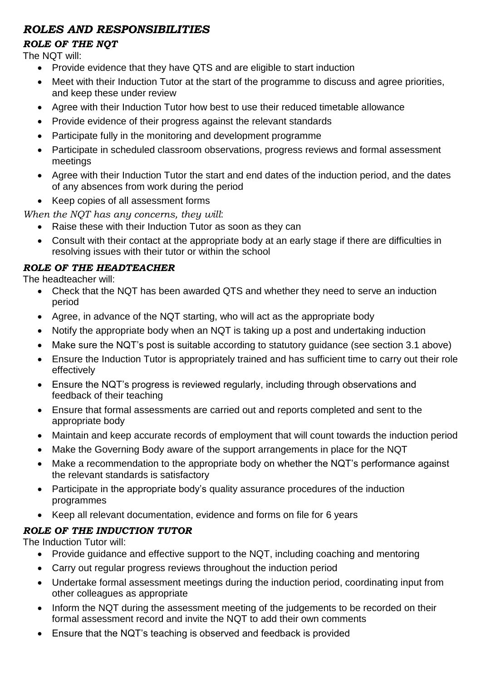## *ROLES AND RESPONSIBILITIES*

#### *ROLE OF THE NQT*

The NQT will:

- Provide evidence that they have QTS and are eligible to start induction
- Meet with their Induction Tutor at the start of the programme to discuss and agree priorities, and keep these under review
- Agree with their Induction Tutor how best to use their reduced timetable allowance
- Provide evidence of their progress against the relevant standards
- Participate fully in the monitoring and development programme
- Participate in scheduled classroom observations, progress reviews and formal assessment meetings
- Agree with their Induction Tutor the start and end dates of the induction period, and the dates of any absences from work during the period
- Keep copies of all assessment forms

#### *When the NQT has any concerns, they will*:

- Raise these with their Induction Tutor as soon as they can
- Consult with their contact at the appropriate body at an early stage if there are difficulties in resolving issues with their tutor or within the school

## *ROLE OF THE HEADTEACHER*

The headteacher will:

- Check that the NQT has been awarded QTS and whether they need to serve an induction period
- Agree, in advance of the NQT starting, who will act as the appropriate body
- Notify the appropriate body when an NQT is taking up a post and undertaking induction
- Make sure the NQT's post is suitable according to statutory guidance (see section 3.1 above)
- Ensure the Induction Tutor is appropriately trained and has sufficient time to carry out their role effectively
- Ensure the NQT's progress is reviewed regularly, including through observations and feedback of their teaching
- Ensure that formal assessments are carried out and reports completed and sent to the appropriate body
- Maintain and keep accurate records of employment that will count towards the induction period
- Make the Governing Body aware of the support arrangements in place for the NQT
- Make a recommendation to the appropriate body on whether the NQT's performance against the relevant standards is satisfactory
- Participate in the appropriate body's quality assurance procedures of the induction programmes
- Keep all relevant documentation, evidence and forms on file for 6 years

## *ROLE OF THE INDUCTION TUTOR*

The Induction Tutor will:

- Provide guidance and effective support to the NQT, including coaching and mentoring
- Carry out regular progress reviews throughout the induction period
- Undertake formal assessment meetings during the induction period, coordinating input from other colleagues as appropriate
- Inform the NQT during the assessment meeting of the judgements to be recorded on their formal assessment record and invite the NQT to add their own comments
- Ensure that the NQT's teaching is observed and feedback is provided